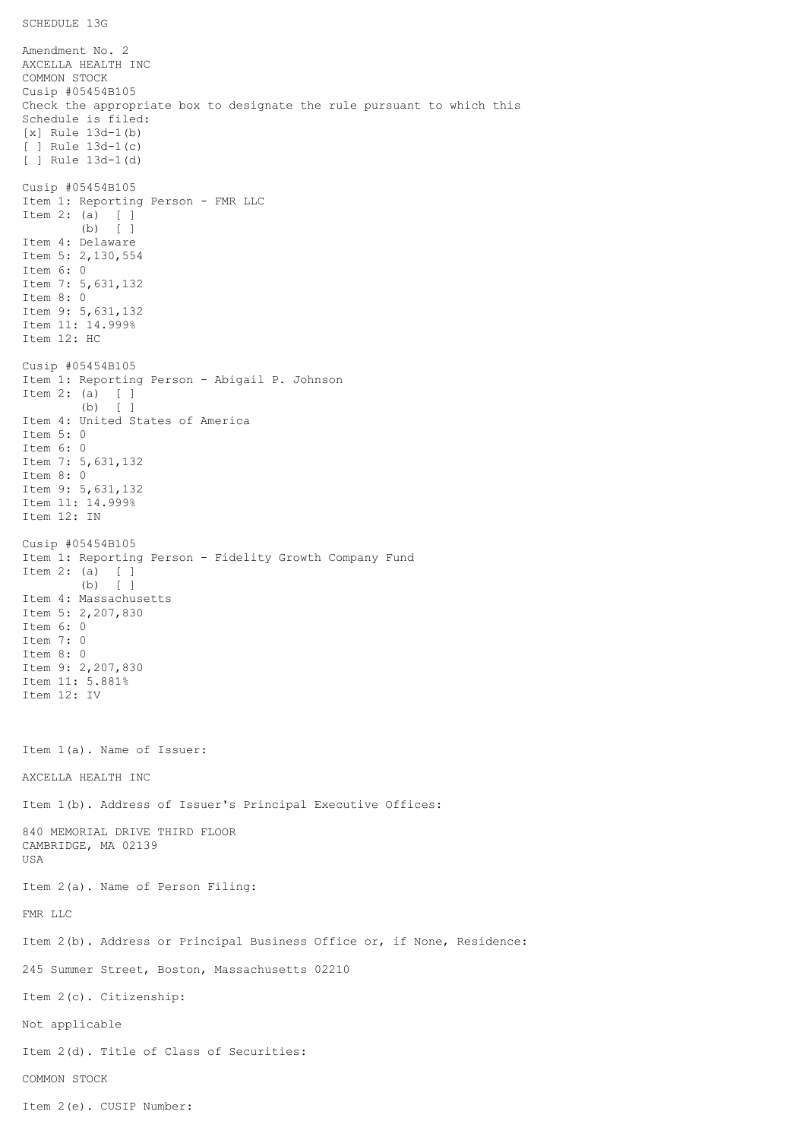```
SCHEDULE 13G
```
Amendment No. 2 AXCELLA HEALTH INC COMMON STOCK Cusip #05454B105 Check the appropriate box to designate the rule pursuant to which this Schedule is filed: [x] Rule 13d-1(b) [ ] Rule 13d-1(c) [ ] Rule 13d-1(d) Cusip #05454B105 Item 1: Reporting Person - FMR LLC Item 2: (a) [ ] (b) [ ] Item 4: Delaware Item 5: 2,130,554 Item 6: 0 Item 7: 5,631,132 Item 8: 0 Item 9: 5,631,132 Item 11: 14.999% Item 12: HC Cusip #05454B105 Item 1: Reporting Person - Abigail P. Johnson Item 2: (a) [ ] (b) [ ] Item 4: United States of America Item 5: 0 Item 6: 0 Item 7: 5,631,132 Item 8: 0 Item 9: 5,631,132 Item 11: 14.999% Item 12: IN Cusip #05454B105 Item 1: Reporting Person - Fidelity Growth Company Fund Item 2: (a) [ ] (b) [ ] Item 4: Massachusetts Item 5: 2,207,830 Item 6: 0 Item 7: 0 Item 8: 0 Item 9: 2,207,830 Item 11: 5.881% Item 12: IV Item 1(a). Name of Issuer: AXCELLA HEALTH INC Item 1(b). Address of Issuer's Principal Executive Offices: 840 MEMORIAL DRIVE THIRD FLOOR CAMBRIDGE, MA 02139 USA Item 2(a). Name of Person Filing: FMR LLC Item 2(b). Address or Principal Business Office or, if None, Residence: 245 Summer Street, Boston, Massachusetts 02210 Item 2(c). Citizenship: Not applicable Item 2(d). Title of Class of Securities: COMMON STOCK Item 2(e). CUSIP Number: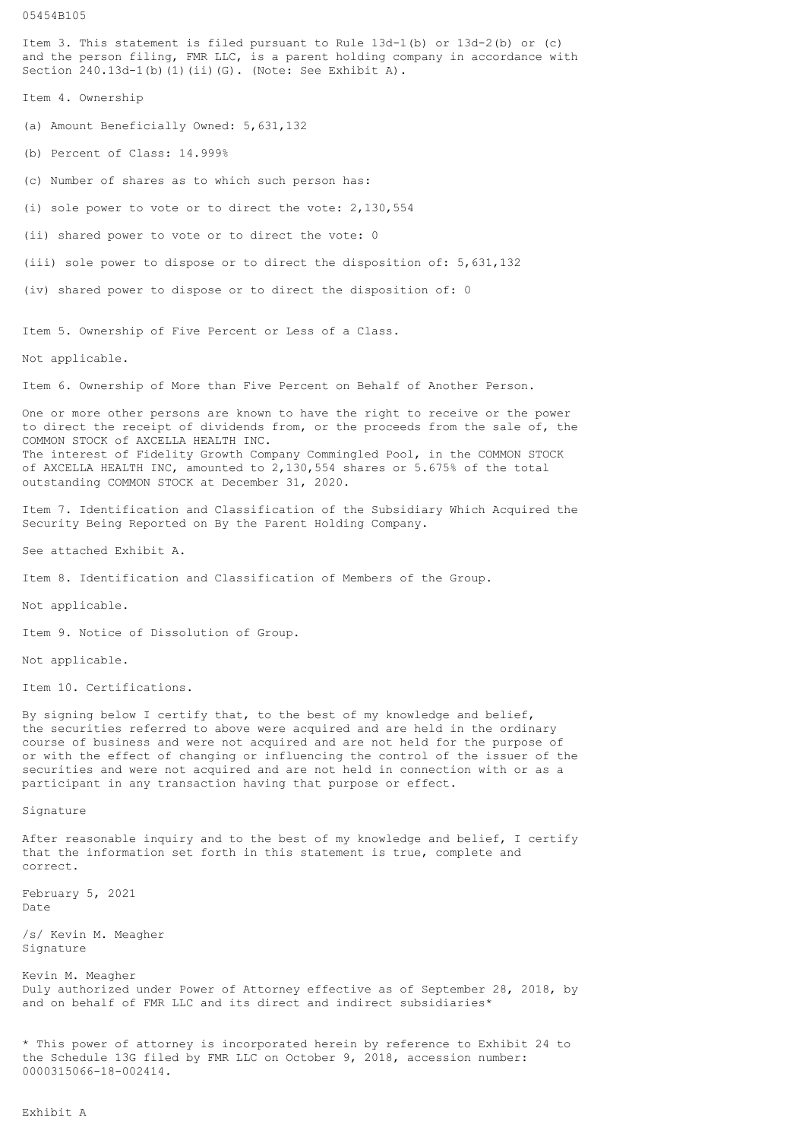05454B105 Item 3. This statement is filed pursuant to Rule 13d-1(b) or 13d-2(b) or (c) and the person filing, FMR LLC, is a parent holding company in accordance with Section  $240.13d-1$ (b)(1)(ii)(G). (Note: See Exhibit A). Item 4. Ownership (a) Amount Beneficially Owned: 5,631,132 (b) Percent of Class: 14.999% (c) Number of shares as to which such person has: (i) sole power to vote or to direct the vote: 2,130,554 (ii) shared power to vote or to direct the vote: 0 (iii) sole power to dispose or to direct the disposition of: 5,631,132 (iv) shared power to dispose or to direct the disposition of: 0 Item 5. Ownership of Five Percent or Less of a Class. Not applicable. Item 6. Ownership of More than Five Percent on Behalf of Another Person. One or more other persons are known to have the right to receive or the power to direct the receipt of dividends from, or the proceeds from the sale of, the COMMON STOCK of AXCELLA HEALTH INC. The interest of Fidelity Growth Company Commingled Pool, in the COMMON STOCK of AXCELLA HEALTH INC, amounted to 2,130,554 shares or 5.675% of the total outstanding COMMON STOCK at December 31, 2020. Item 7. Identification and Classification of the Subsidiary Which Acquired the Security Being Reported on By the Parent Holding Company. See attached Exhibit A. Item 8. Identification and Classification of Members of the Group. Not applicable. Item 9. Notice of Dissolution of Group. Not applicable. Item 10. Certifications. By signing below I certify that, to the best of my knowledge and belief, the securities referred to above were acquired and are held in the ordinary course of business and were not acquired and are not held for the purpose of or with the effect of changing or influencing the control of the issuer of the securities and were not acquired and are not held in connection with or as a participant in any transaction having that purpose or effect. Signature After reasonable inquiry and to the best of my knowledge and belief, I certify that the information set forth in this statement is true, complete and correct. February 5, 2021 Date /s/ Kevin M. Meagher Signature Kevin M. Meagher Duly authorized under Power of Attorney effective as of September 28, 2018, by

\* This power of attorney is incorporated herein by reference to Exhibit 24 to

and on behalf of FMR LLC and its direct and indirect subsidiaries\*

the Schedule 13G filed by FMR LLC on October 9, 2018, accession number:

0000315066-18-002414.